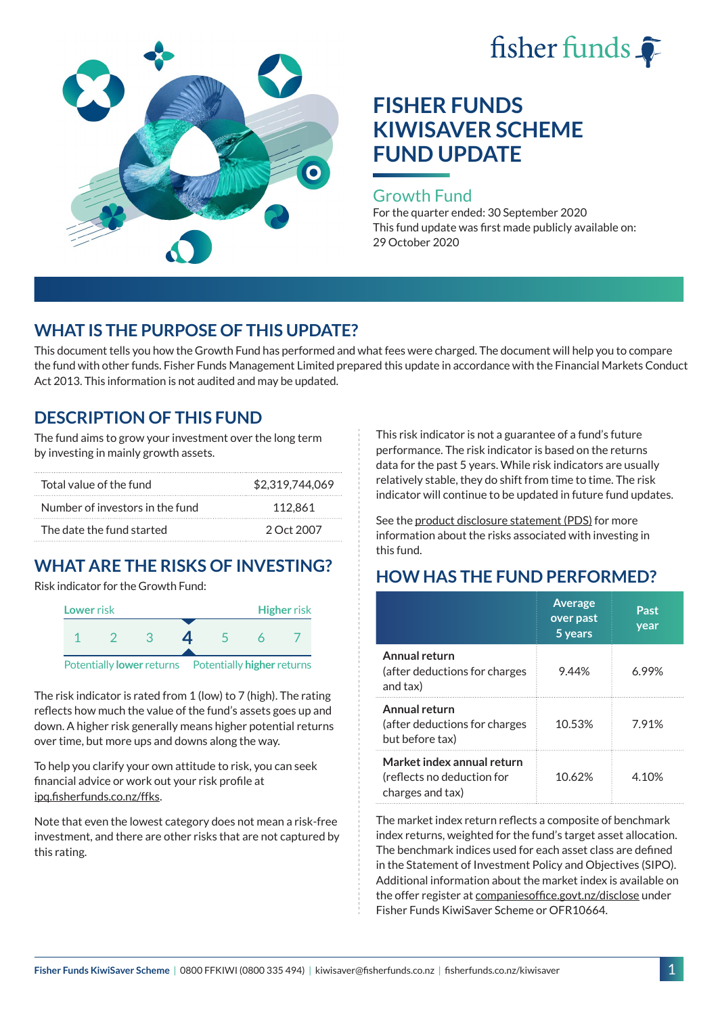



### Growth Fund

For the quarter ended: 30 September 2020 This fund update was first made publicly available on: 29 October 2020

## **WHAT IS THE PURPOSE OF THIS UPDATE?**

This document tells you how the Growth Fund has performed and what fees were charged. The document will help you to compare the fund with other funds. Fisher Funds Management Limited prepared this update in accordance with the Financial Markets Conduct Act 2013. This information is not audited and may be updated.

## **DESCRIPTION OF THIS FUND**

The fund aims to grow your investment over the long term by investing in mainly growth assets.

| Total value of the fund         | \$2,319,744,069 |
|---------------------------------|-----------------|
| Number of investors in the fund | 112.861         |
| The date the fund started       | 2 Oct 2007      |

# **WHAT ARE THE RISKS OF INVESTING?**

Risk indicator for the Growth Fund:



The risk indicator is rated from 1 (low) to 7 (high). The rating reflects how much the value of the fund's assets goes up and down. A higher risk generally means higher potential returns over time, but more ups and downs along the way.

To help you clarify your own attitude to risk, you can seek financial advice or work out your risk profile at [ipq.fisherfunds.co.nz/ffks](https://ipq.fisherfunds.co.nz/ffks).

Note that even the lowest category does not mean a risk-free investment, and there are other risks that are not captured by this rating.

This risk indicator is not a guarantee of a fund's future performance. The risk indicator is based on the returns data for the past 5 years. While risk indicators are usually relatively stable, they do shift from time to time. The risk indicator will continue to be updated in future fund updates.

See the [product disclosure statement \(PDS\)](https://fisherfunds.co.nz/assets/PDS/Fisher-Funds-KiwiSaver-Scheme-PDS.pdf) for more information about the risks associated with investing in this fund.

## **HOW HAS THE FUND PERFORMED?**

|                                                                              | <b>Average</b><br>over past<br>5 years | Past<br>year |
|------------------------------------------------------------------------------|----------------------------------------|--------------|
| Annual return<br>(after deductions for charges<br>and tax)                   | 9.44%                                  | 6.99%        |
| Annual return<br>(after deductions for charges<br>but before tax)            | 10.53%                                 | 7.91%        |
| Market index annual return<br>(reflects no deduction for<br>charges and tax) | 10.62%                                 | 4.10%        |

The market index return reflects a composite of benchmark index returns, weighted for the fund's target asset allocation. The benchmark indices used for each asset class are defined in the Statement of Investment Policy and Objectives (SIPO). Additional information about the market index is available on the offer register at [companiesoffice.govt.nz/disclose](http://companiesoffice.govt.nz/disclose) under Fisher Funds KiwiSaver Scheme or OFR10664.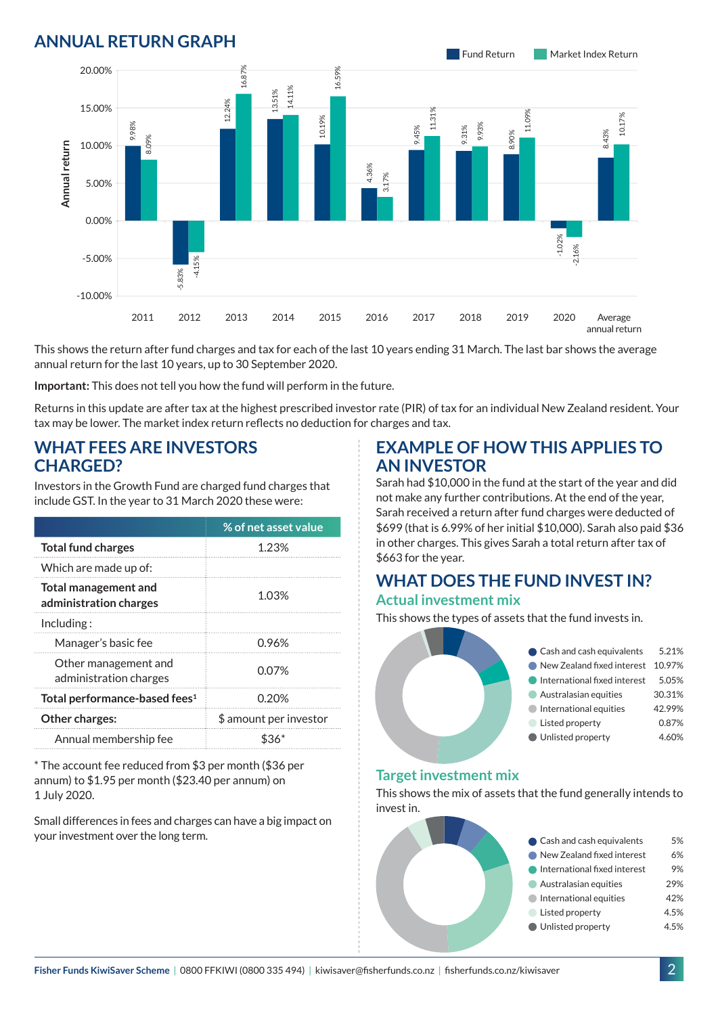## **ANNUAL RETURN GRAPH**



This shows the return after fund charges and tax for each of the last 10 years ending 31 March. The last bar shows the average annual return for the last 10 years, up to 30 September 2020.

**Important:** This does not tell you how the fund will perform in the future.

Returns in this update are after tax at the highest prescribed investor rate (PIR) of tax for an individual New Zealand resident. Your tax may be lower. The market index return reflects no deduction for charges and tax.

### **WHAT FEES ARE INVESTORS CHARGED?**

Investors in the Growth Fund are charged fund charges that include GST. In the year to 31 March 2020 these were:

|                                                       | % of net asset value   |  |
|-------------------------------------------------------|------------------------|--|
| <b>Total fund charges</b>                             | 1.23%                  |  |
| Which are made up of:                                 |                        |  |
| <b>Total management and</b><br>administration charges | 1.03%                  |  |
| Including:                                            |                        |  |
| Manager's basic fee                                   | 0.96%                  |  |
| Other management and<br>administration charges        | 0.07%                  |  |
| Total performance-based fees <sup>1</sup>             | 0.20%                  |  |
| Other charges:                                        | \$ amount per investor |  |
| Annual membership fee                                 |                        |  |

\* The account fee reduced from \$3 per month (\$36 per annum) to \$1.95 per month (\$23.40 per annum) on 1 July 2020.

Small differences in fees and charges can have a big impact on your investment over the long term.

### **EXAMPLE OF HOW THIS APPLIES TO AN INVESTOR**

Sarah had \$10,000 in the fund at the start of the year and did not make any further contributions. At the end of the year, Sarah received a return after fund charges were deducted of \$699 (that is 6.99% of her initial \$10,000). Sarah also paid \$36 in other charges. This gives Sarah a total return after tax of \$663 for the year.

#### **WHAT DOES THE FUND INVEST IN? Actual investment mix**

This shows the types of assets that the fund invests in.



#### **Target investment mix**

This shows the mix of assets that the fund generally intends to invest in.